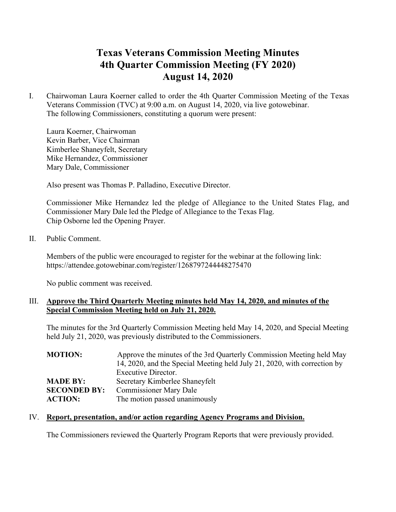# **Texas Veterans Commission Meeting Minutes 4th Quarter Commission Meeting (FY 2020) August 14, 2020**

I. Chairwoman Laura Koerner called to order the 4th Quarter Commission Meeting of the Texas Veterans Commission (TVC) at 9:00 a.m. on August 14, 2020, via live gotowebinar. The following Commissioners, constituting a quorum were present:

Laura Koerner, Chairwoman Kevin Barber, Vice Chairman Kimberlee Shaneyfelt, Secretary Mike Hernandez, Commissioner Mary Dale, Commissioner

Also present was Thomas P. Palladino, Executive Director.

Commissioner Mike Hernandez led the pledge of Allegiance to the United States Flag, and Commissioner Mary Dale led the Pledge of Allegiance to the Texas Flag. Chip Osborne led the Opening Prayer.

## II. Public Comment.

Members of the public were encouraged to register for the webinar at the following link: https://attendee.gotowebinar.com/register/1268797244448275470

No public comment was received.

## III. **Approve the Third Quarterly Meeting minutes held May 14, 2020, and minutes of the Special Commission Meeting held on July 21, 2020.**

The minutes for the 3rd Quarterly Commission Meeting held May 14, 2020, and Special Meeting held July 21, 2020, was previously distributed to the Commissioners.

| <b>MOTION:</b>      | Approve the minutes of the 3rd Quarterly Commission Meeting held May     |  |
|---------------------|--------------------------------------------------------------------------|--|
|                     | 14, 2020, and the Special Meeting held July 21, 2020, with correction by |  |
|                     | Executive Director.                                                      |  |
| <b>MADE BY:</b>     | Secretary Kimberlee Shaneyfelt                                           |  |
| <b>SECONDED BY:</b> | <b>Commissioner Mary Dale</b>                                            |  |
| <b>ACTION:</b>      | The motion passed unanimously                                            |  |

#### IV. **Report, presentation, and/or action regarding Agency Programs and Division.**

The Commissioners reviewed the Quarterly Program Reports that were previously provided.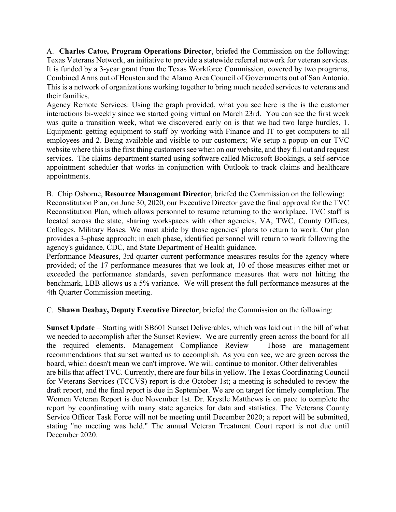A. **Charles Catoe, Program Operations Director**, briefed the Commission on the following: Texas Veterans Network, an initiative to provide a statewide referral network for veteran services. It is funded by a 3-year grant from the Texas Workforce Commission, covered by two programs, Combined Arms out of Houston and the Alamo Area Council of Governments out of San Antonio. This is a network of organizations working together to bring much needed services to veterans and their families.

Agency Remote Services: Using the graph provided, what you see here is the is the customer interactions bi-weekly since we started going virtual on March 23rd. You can see the first week was quite a transition week, what we discovered early on is that we had two large hurdles, 1. Equipment: getting equipment to staff by working with Finance and IT to get computers to all employees and 2. Being available and visible to our customers; We setup a popup on our TVC website where this is the first thing customers see when on our website, and they fill out and request services. The claims department started using software called Microsoft Bookings, a self-service appointment scheduler that works in conjunction with Outlook to track claims and healthcare appointments.

## B. Chip Osborne, **Resource Management Director**, briefed the Commission on the following:

Reconstitution Plan, on June 30, 2020, our Executive Director gave the final approval for the TVC Reconstitution Plan, which allows personnel to resume returning to the workplace. TVC staff is located across the state, sharing workspaces with other agencies, VA, TWC, County Offices, Colleges, Military Bases. We must abide by those agencies' plans to return to work. Our plan provides a 3-phase approach; in each phase, identified personnel will return to work following the agency's guidance, CDC, and State Department of Health guidance.

Performance Measures, 3rd quarter current performance measures results for the agency where provided; of the 17 performance measures that we look at, 10 of those measures either met or exceeded the performance standards, seven performance measures that were not hitting the benchmark, LBB allows us a 5% variance. We will present the full performance measures at the 4th Quarter Commission meeting.

C. **Shawn Deabay, Deputy Executive Director**, briefed the Commission on the following:

**Sunset Update** – Starting with SB601 Sunset Deliverables, which was laid out in the bill of what we needed to accomplish after the Sunset Review. We are currently green across the board for all the required elements. Management Compliance Review – Those are management recommendations that sunset wanted us to accomplish. As you can see, we are green across the board, which doesn't mean we can't improve. We will continue to monitor. Other deliverables – are bills that affect TVC. Currently, there are four bills in yellow. The Texas Coordinating Council for Veterans Services (TCCVS) report is due October 1st; a meeting is scheduled to review the draft report, and the final report is due in September. We are on target for timely completion. The Women Veteran Report is due November 1st. Dr. Krystle Matthews is on pace to complete the report by coordinating with many state agencies for data and statistics. The Veterans County Service Officer Task Force will not be meeting until December 2020; a report will be submitted, stating "no meeting was held." The annual Veteran Treatment Court report is not due until December 2020.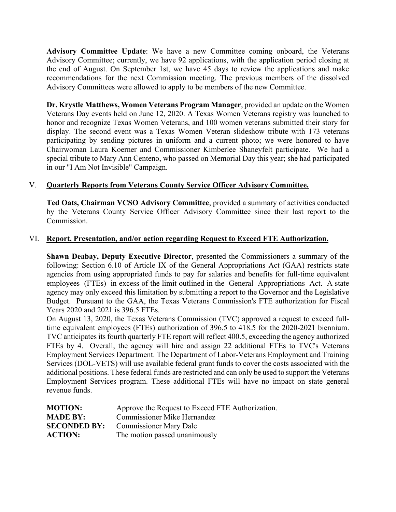**Advisory Committee Update**: We have a new Committee coming onboard, the Veterans Advisory Committee; currently, we have 92 applications, with the application period closing at the end of August. On September 1st, we have 45 days to review the applications and make recommendations for the next Commission meeting. The previous members of the dissolved Advisory Committees were allowed to apply to be members of the new Committee.

**Dr. Krystle Matthews, Women Veterans Program Manager**, provided an update on the Women Veterans Day events held on June 12, 2020. A Texas Women Veterans registry was launched to honor and recognize Texas Women Veterans, and 100 women veterans submitted their story for display. The second event was a Texas Women Veteran slideshow tribute with 173 veterans participating by sending pictures in uniform and a current photo; we were honored to have Chairwoman Laura Koerner and Commissioner Kimberlee Shaneyfelt participate. We had a special tribute to Mary Ann Centeno, who passed on Memorial Day this year; she had participated in our "I Am Not Invisible" Campaign.

## V. **Quarterly Reports from Veterans County Service Officer Advisory Committee.**

**Ted Oats, Chairman VCSO Advisory Committee**, provided a summary of activities conducted by the Veterans County Service Officer Advisory Committee since their last report to the Commission.

#### VI. **Report, Presentation, and/or action regarding Request to Exceed FTE Authorization.**

**Shawn Deabay, Deputy Executive Director**, presented the Commissioners a summary of the following: Section 6.10 of Article IX of the General Appropriations Act (GAA) restricts state agencies from using appropriated funds to pay for salaries and benefits for full-time equivalent employees (FTEs) in excess of the limit outlined in the General Appropriations Act. A state agency may only exceed this limitation by submitting a report to the Governor and the Legislative Budget. Pursuant to the GAA, the Texas Veterans Commission's FTE authorization for Fiscal Years 2020 and 2021 is 396.5 FTEs.

On August 13, 2020, the Texas Veterans Commission (TVC) approved a request to exceed fulltime equivalent employees (FTEs) authorization of 396.5 to 418.5 for the 2020-2021 biennium. TVC anticipates its fourth quarterly FTE report will reflect 400.5, exceeding the agency authorized FTEs by 4. Overall, the agency will hire and assign 22 additional FTEs to TVC's Veterans Employment Services Department. The Department of Labor-Veterans Employment and Training Services (DOL-VETS) will use available federal grant funds to cover the costs associated with the additional positions. These federal funds are restricted and can only be used to support the Veterans Employment Services program. These additional FTEs will have no impact on state general revenue funds.

| <b>MOTION:</b>      | Approve the Request to Exceed FTE Authorization. |
|---------------------|--------------------------------------------------|
| <b>MADE BY:</b>     | <b>Commissioner Mike Hernandez</b>               |
| <b>SECONDED BY:</b> | <b>Commissioner Mary Dale</b>                    |
| <b>ACTION:</b>      | The motion passed unanimously                    |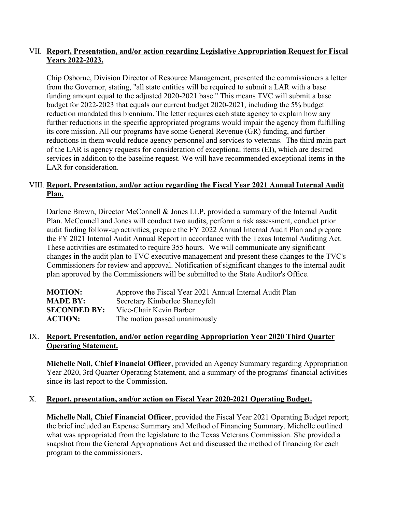# VII. **Report, Presentation, and/or action regarding Legislative Appropriation Request for Fiscal Years 2022-2023.**

Chip Osborne, Division Director of Resource Management, presented the commissioners a letter from the Governor, stating, "all state entities will be required to submit a LAR with a base funding amount equal to the adjusted 2020-2021 base." This means TVC will submit a base budget for 2022-2023 that equals our current budget 2020-2021, including the 5% budget reduction mandated this biennium. The letter requires each state agency to explain how any further reductions in the specific appropriated programs would impair the agency from fulfilling its core mission. All our programs have some General Revenue (GR) funding, and further reductions in them would reduce agency personnel and services to veterans. The third main part of the LAR is agency requests for consideration of exceptional items (EI), which are desired services in addition to the baseline request. We will have recommended exceptional items in the LAR for consideration.

# VIII. **Report, Presentation, and/or action regarding the Fiscal Year 2021 Annual Internal Audit Plan.**

Darlene Brown, Director McConnell & Jones LLP, provided a summary of the Internal Audit Plan. McConnell and Jones will conduct two audits, perform a risk assessment, conduct prior audit finding follow-up activities, prepare the FY 2022 Annual Internal Audit Plan and prepare the FY 2021 Internal Audit Annual Report in accordance with the Texas Internal Auditing Act. These activities are estimated to require 355 hours. We will communicate any significant changes in the audit plan to TVC executive management and present these changes to the TVC's Commissioners for review and approval. Notification of significant changes to the internal audit plan approved by the Commissioners will be submitted to the State Auditor's Office.

| <b>MOTION:</b>      | Approve the Fiscal Year 2021 Annual Internal Audit Plan |
|---------------------|---------------------------------------------------------|
| <b>MADE BY:</b>     | Secretary Kimberlee Shaneyfelt                          |
| <b>SECONDED BY:</b> | Vice-Chair Kevin Barber                                 |
| <b>ACTION:</b>      | The motion passed unanimously                           |

## IX. **Report, Presentation, and/or action regarding Appropriation Year 2020 Third Quarter Operating Statement.**

**Michelle Nall, Chief Financial Officer**, provided an Agency Summary regarding Appropriation Year 2020, 3rd Quarter Operating Statement, and a summary of the programs' financial activities since its last report to the Commission.

# X. **Report, presentation, and/or action on Fiscal Year 2020-2021 Operating Budget.**

**Michelle Nall, Chief Financial Officer**, provided the Fiscal Year 2021 Operating Budget report; the brief included an Expense Summary and Method of Financing Summary. Michelle outlined what was appropriated from the legislature to the Texas Veterans Commission. She provided a snapshot from the General Appropriations Act and discussed the method of financing for each program to the commissioners.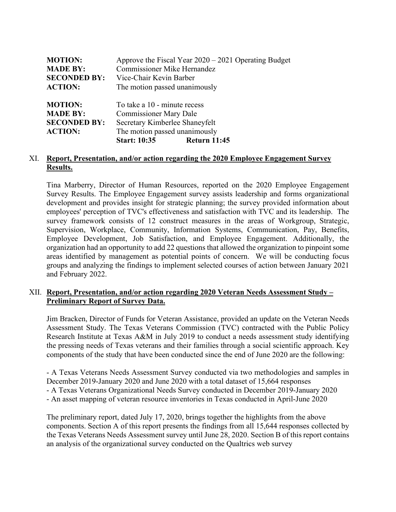| <b>MOTION:</b><br><b>MADE BY:</b><br><b>SECONDED BY:</b><br><b>ACTION:</b> | <b>Commissioner Mike Hernandez</b><br>Vice-Chair Kevin Barber<br>The motion passed unanimously                                                          | Approve the Fiscal Year $2020 - 2021$ Operating Budget |
|----------------------------------------------------------------------------|---------------------------------------------------------------------------------------------------------------------------------------------------------|--------------------------------------------------------|
| <b>MOTION:</b><br><b>MADE BY:</b><br><b>SECONDED BY:</b><br><b>ACTION:</b> | To take a 10 - minute recess<br><b>Commissioner Mary Dale</b><br>Secretary Kimberlee Shaneyfelt<br>The motion passed unanimously<br><b>Start: 10:35</b> | <b>Return 11:45</b>                                    |

#### XI. **Report, Presentation, and/or action regarding the 2020 Employee Engagement Survey Results.**

Tina Marberry, Director of Human Resources, reported on the 2020 Employee Engagement Survey Results. The Employee Engagement survey assists leadership and forms organizational development and provides insight for strategic planning; the survey provided information about employees' perception of TVC's effectiveness and satisfaction with TVC and its leadership. The survey framework consists of 12 construct measures in the areas of Workgroup, Strategic, Supervision, Workplace, Community, Information Systems, Communication, Pay, Benefits, Employee Development, Job Satisfaction, and Employee Engagement. Additionally, the organization had an opportunity to add 22 questions that allowed the organization to pinpoint some areas identified by management as potential points of concern. We will be conducting focus groups and analyzing the findings to implement selected courses of action between January 2021 and February 2022.

## XII. **Report, Presentation, and/or action regarding 2020 Veteran Needs Assessment Study – Preliminary Report of Survey Data.**

Jim Bracken, Director of Funds for Veteran Assistance, provided an update on the Veteran Needs Assessment Study. The Texas Veterans Commission (TVC) contracted with the Public Policy Research Institute at Texas A&M in July 2019 to conduct a needs assessment study identifying the pressing needs of Texas veterans and their families through a social scientific approach. Key components of the study that have been conducted since the end of June 2020 are the following:

- A Texas Veterans Needs Assessment Survey conducted via two methodologies and samples in December 2019-January 2020 and June 2020 with a total dataset of 15,664 responses - A Texas Veterans Organizational Needs Survey conducted in December 2019-January 2020 - An asset mapping of veteran resource inventories in Texas conducted in April-June 2020

The preliminary report, dated July 17, 2020, brings together the highlights from the above components. Section A of this report presents the findings from all 15,644 responses collected by the Texas Veterans Needs Assessment survey until June 28, 2020. Section B of this report contains an analysis of the organizational survey conducted on the Qualtrics web survey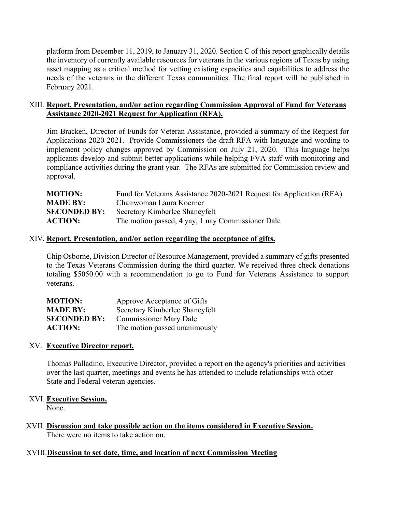platform from December 11, 2019, to January 31, 2020. Section C of this report graphically details the inventory of currently available resources for veterans in the various regions of Texas by using asset mapping as a critical method for vetting existing capacities and capabilities to address the needs of the veterans in the different Texas communities. The final report will be published in February 2021.

# XIII. **Report, Presentation, and/or action regarding Commission Approval of Fund for Veterans Assistance 2020-2021 Request for Application (RFA).**

Jim Bracken, Director of Funds for Veteran Assistance, provided a summary of the Request for Applications 2020-2021. Provide Commissioners the draft RFA with language and wording to implement policy changes approved by Commission on July 21, 2020. This language helps applicants develop and submit better applications while helping FVA staff with monitoring and compliance activities during the grant year. The RFAs are submitted for Commission review and approval.

| <b>MOTION:</b>      | Fund for Veterans Assistance 2020-2021 Request for Application (RFA) |
|---------------------|----------------------------------------------------------------------|
| <b>MADE BY:</b>     | Chairwoman Laura Koerner                                             |
| <b>SECONDED BY:</b> | Secretary Kimberlee Shaneyfelt                                       |
| <b>ACTION:</b>      | The motion passed, 4 yay, 1 nay Commissioner Dale                    |
|                     |                                                                      |

#### XIV. **Report, Presentation, and/or action regarding the acceptance of gifts.**

Chip Osborne, Division Director of Resource Management, provided a summary of gifts presented to the Texas Veterans Commission during the third quarter. We received three check donations totaling \$5050.00 with a recommendation to go to Fund for Veterans Assistance to support veterans.

| <b>MOTION:</b>      | Approve Acceptance of Gifts    |
|---------------------|--------------------------------|
| <b>MADE BY:</b>     | Secretary Kimberlee Shaneyfelt |
| <b>SECONDED BY:</b> | <b>Commissioner Mary Dale</b>  |
| <b>ACTION:</b>      | The motion passed unanimously  |

# XV. **Executive Director report.**

Thomas Palladino, Executive Director, provided a report on the agency's priorities and activities over the last quarter, meetings and events he has attended to include relationships with other State and Federal veteran agencies.

#### XVI. **Executive Session.**

None.

XVII. **Discussion and take possible action on the items considered in Executive Session.** There were no items to take action on.

# XVIII.**Discussion to set date, time, and location of next Commission Meeting**